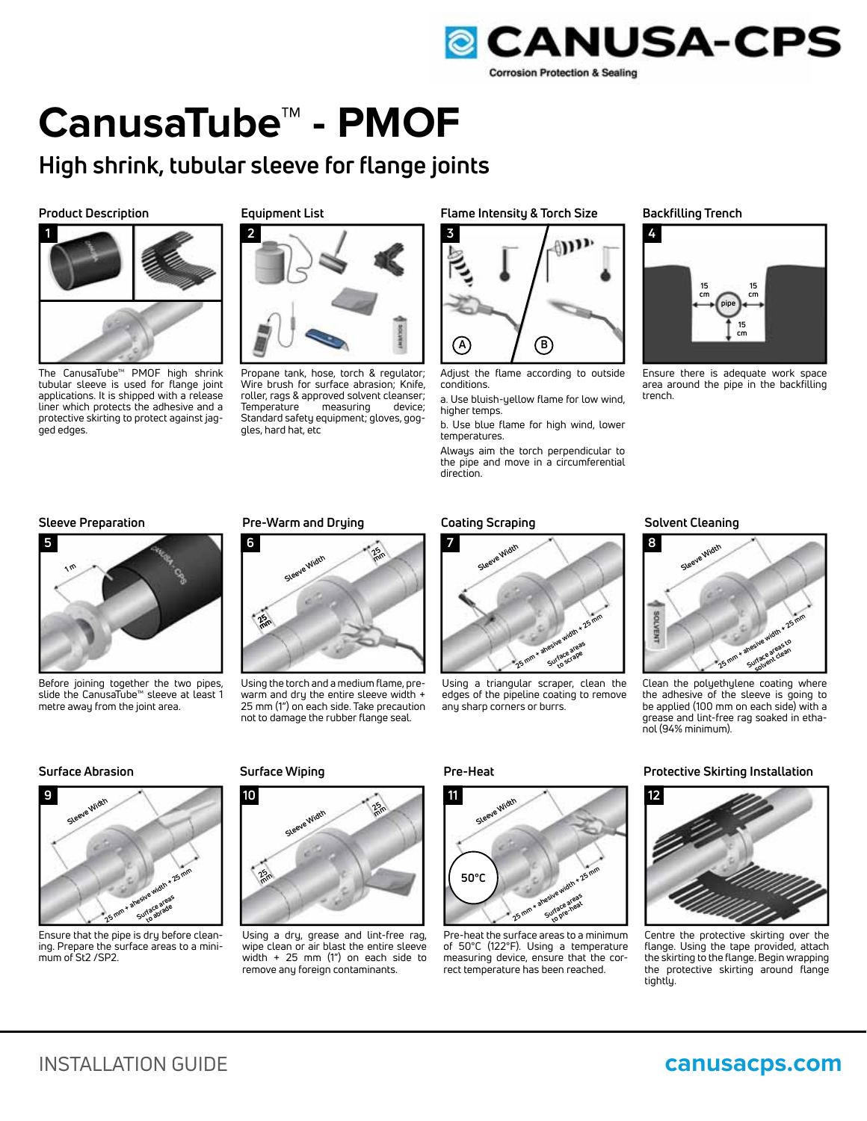

# **CanusaTube™ - PMOF**

## **High shrink, tubular sleeve for flange joints**

### **Product Description**



The CanusaTube™ PMOF high shrink tubular sleeve is used for flange joint applications. It is shipped with a release liner which protects the adhesive and a protective skirting to protect against jagged edges.

#### **Equipment List**



Propane tank, hose, torch & regulator; Wire brush for surface abrasion; Knife, roller, rags & approved solvent cleanser;<br>Temperature measuring device; Temperature Standard safety equipment; gloves, goggles, hard hat, etc

### **Flame Intensity & Torch Size Backfilling Trench**



Adjust the flame according to outside conditions.

a. Use bluish-yellow flame for low wind, higher temps.

b. Use blue flame for high wind, lower temperatures.

Always aim the torch perpendicular to the pipe and move in a circumferential direction.



Ensure there is adequate work space area around the pipe in the backfilling trench.



Before joining together the two pipes, slide the CanusaTube™ sleeve at least 1 metre away from the joint area.

### **Sleeve Preparation Coating Scraping Pre-Warm and Drying Solvent Cleaning**



Using the torch and a medium flame, prewarm and dry the entire sleeve width + 25 mm (1") on each side. Take precaution not to damage the rubber flange seal.



Using a triangular scraper, clean the edges of the pipeline coating to remove any sharp corners or burrs.



Clean the polyethylene coating where the adhesive of the sleeve is going to be applied (100 mm on each side) with a grease and lint-free rag soaked in ethanol (94% minimum).



Ensure that the pipe is dry before cleaning. Prepare the surface areas to a minimum of St2 /SP2.



Using a dry, grease and lint-free rag, wipe clean or air blast the entire sleeve width + 25 mm (1") on each side to remove any foreign contaminants.



Pre-heat the surface areas to a minimum of 50°C (122°F). Using a temperature measuring device, ensure that the correct temperature has been reached.

### **Surface Abrasion Surface Wiping Pre-Heat Pre-Heat Protective Skirting Installation**



Centre the protective skirting over the flange. Using the tape provided, attach the skirting to the flange. Begin wrapping the protective skirting around flange tightly.